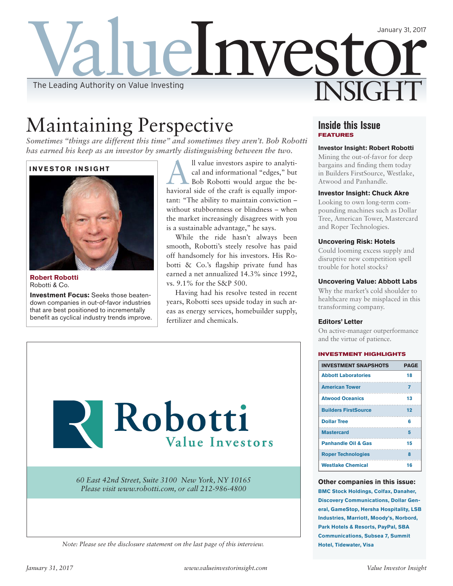

## Maintaining Perspective

*Sometimes "things are different this time" and sometimes they aren't. Bob Robotti has earned his keep as an investor by smartly distinguishing between the two.* 

### **INVESTOR INSIGHT**



**Robert Robotti**  Robotti & Co.

**Investment Focus:** Seeks those beatendown companies in out-of-favor industries that are best positioned to incrementally benefit as cyclical industry trends improve.

All value investors aspire to analytical and informational "edges," but<br>Bob Robotti would argue the becal and informational "edges," but havioral side of the craft is equally important: "The ability to maintain conviction – without stubbornness or blindness – when the market increasingly disagrees with you is a sustainable advantage," he says.

While the ride hasn't always been smooth, Robotti's steely resolve has paid off handsomely for his investors. His Robotti & Co.'s flagship private fund has earned a net annualized 14.3% since 1992, vs. 9.1% for the S&P 500.

Having had his resolve tested in recent years, Robotti sees upside today in such areas as energy services, homebuilder supply, fertilizer and chemicals.



*Note: Please see the disclosure statement on the last page of this interview.*

## **Inside this Issue FEATURES**

#### **Investor Insight: Robert Robotti**

Mining the out-of-favor for deep bargains and finding them today in Builders FirstSource, Westlake, Atwood and Panhandle.

#### **Investor Insight: Chuck Akre**

Looking to own long-term compounding machines such as Dollar Tree, American Tower, Mastercard and Roper Technologies.

#### **Uncovering Risk: Hotels**

Could looming excess supply and disruptive new competition spell trouble for hotel stocks?

#### **Uncovering Value: Abbott Labs**

Why the market's cold shoulder to healthcare may be misplaced in this transforming company.

#### **Editors' Letter**

On active-manager outperformance and the virtue of patience.

#### **INVESTMENT HIGHLIGHTS**

| <b>INVESTMENT SNAPSHOTS</b>    | <b>PAGE</b> |
|--------------------------------|-------------|
| <b>Abbott Laboratories</b>     | 18          |
| <b>American Tower</b>          | 7           |
| <b>Atwood Oceanics</b>         | 13          |
| <b>Builders FirstSource</b>    | 12          |
| <b>Dollar Tree</b>             | 6           |
| <b>Mastercard</b>              | 5           |
| <b>Panhandle Oil &amp; Gas</b> | 15          |
| <b>Roper Technologies</b>      | 8           |
| <b>Westlake Chemical</b>       | 16          |

#### **Other companies in this issue:**

**BMC Stock Holdings, Colfax, Danaher, Discovery Communications, Dollar General, GameStop, Hersha Hospitality, LSB Industries, Marriott, Moody's, Norbord, Park Hotels & Resorts, PayPal, SBA Communications, Subsea 7, Summit Hotel, Tidewater, Visa**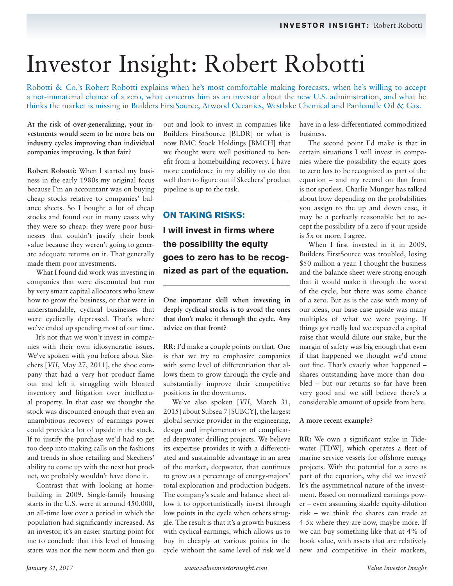# Investor Insight: Robert Robotti

Robotti & Co.'s Robert Robotti explains when he's most comfortable making forecasts, when he's willing to accept a not-immaterial chance of a zero, what concerns him as an investor about the new U.S. administration, and what he thinks the market is missing in Builders FirstSource, Atwood Oceanics, Westlake Chemical and Panhandle Oil & Gas.

## **At the risk of over-generalizing, your investments would seem to be more bets on industry cycles improving than individual companies improving. Is that fair?**

**Robert Robotti:** When I started my business in the early 1980s my original focus because I'm an accountant was on buying cheap stocks relative to companies' balance sheets. So I bought a lot of cheap stocks and found out in many cases why they were so cheap: they were poor businesses that couldn't justify their book value because they weren't going to generate adequate returns on it. That generally made them poor investments.

What I found did work was investing in companies that were discounted but run by very smart capital allocators who knew how to grow the business, or that were in understandable, cyclical businesses that were cyclically depressed. That's where we've ended up spending most of our time.

It's not that we won't invest in companies with their own idiosyncratic issues. We've spoken with you before about Skechers [*VII*, May 27, 2011], the shoe company that had a very hot product flame out and left it struggling with bloated inventory and litigation over intellectual property. In that case we thought the stock was discounted enough that even an unambitious recovery of earnings power could provide a lot of upside in the stock. If to justify the purchase we'd had to get too deep into making calls on the fashions and trends in shoe retailing and Skechers' ability to come up with the next hot product, we probably wouldn't have done it.

Contrast that with looking at homebuilding in 2009. Single-family housing starts in the U.S. were at around 450,000, an all-time low over a period in which the population had significantly increased. As an investor, it's an easier starting point for me to conclude that this level of housing starts was not the new norm and then go out and look to invest in companies like Builders FirstSource [BLDR] or what is now BMC Stock Holdings [BMCH] that we thought were well positioned to benefit from a homebuilding recovery. I have more confidence in my ability to do that well than to figure out if Skechers' product pipeline is up to the task.

## **ON TAKING RISKS:**

**I will invest in firms where the possibility the equity goes to zero has to be recognized as part of the equation.** 

**One important skill when investing in deeply cyclical stocks is to avoid the ones that don't make it through the cycle. Any advice on that front?**

**RR:** I'd make a couple points on that. One is that we try to emphasize companies with some level of differentiation that allows them to grow through the cycle and substantially improve their competitive positions in the downturns.

We've also spoken [*VII*, March 31, 2015] about Subsea 7 [SUBCY], the largest global service provider in the engineering, design and implementation of complicated deepwater drilling projects. We believe its expertise provides it with a differentiated and sustainable advantage in an area of the market, deepwater, that continues to grow as a percentage of energy-majors' total exploration and production budgets. The company's scale and balance sheet allow it to opportunistically invest through low points in the cycle when others struggle. The result is that it's a growth business with cyclical earnings, which allows us to buy in cheaply at various points in the cycle without the same level of risk we'd have in a less-differentiated commoditized business.

The second point I'd make is that in certain situations I will invest in companies where the possibility the equity goes to zero has to be recognized as part of the equation – and my record on that front is not spotless. Charlie Munger has talked about how depending on the probabilities you assign to the up and down case, it may be a perfectly reasonable bet to accept the possibility of a zero if your upside is 5x or more. I agree.

When I first invested in it in 2009, Builders FirstSource was troubled, losing \$50 million a year. I thought the business and the balance sheet were strong enough that it would make it through the worst of the cycle, but there was some chance of a zero. But as is the case with many of our ideas, our base-case upside was many multiples of what we were paying. If things got really bad we expected a capital raise that would dilute our stake, but the margin of safety was big enough that even if that happened we thought we'd come out fine. That's exactly what happened – shares outstanding have more than doubled – but our returns so far have been very good and we still believe there's a considerable amount of upside from here.

### **A more recent example?**

**RR:** We own a significant stake in Tidewater [TDW], which operates a fleet of marine service vessels for offshore energy projects. With the potential for a zero as part of the equation, why did we invest? It's the asymmetrical nature of the investment. Based on normalized earnings power – even assuming sizable equity-dilution risk – we think the shares can trade at 4-5x where they are now, maybe more. If we can buy something like that at 4% of book value, with assets that are relatively new and competitive in their markets,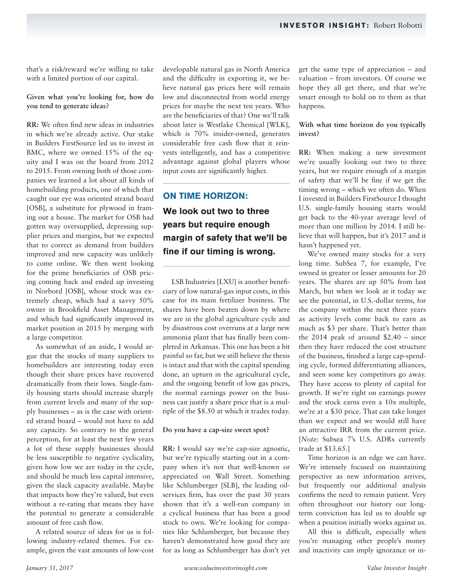that's a risk/reward we're willing to take with a limited portion of our capital.

## **Given what you're looking for, how do you tend to generate ideas?**

**RR:** We often find new ideas in industries in which we're already active. Our stake in Builders FirstSource led us to invest in BMC, where we owned 15% of the equity and I was on the board from 2012 to 2015. From owning both of those companies we learned a lot about all kinds of homebuilding products, one of which that caught our eye was oriented strand board [OSB], a substitute for plywood in framing out a house. The market for OSB had gotten way oversupplied, depressing supplier prices and margins, but we expected that to correct as demand from builders improved and new capacity was unlikely to come online. We then went looking for the prime beneficiaries of OSB pricing coming back and ended up investing in Norbord [OSB], whose stock was extremely cheap, which had a savvy 50% owner in Brookfield Asset Management, and which had significantly improved its market position in 2015 by merging with a large competitor.

As somewhat of an aside, I would argue that the stocks of many suppliers to homebuilders are interesting today even though their share prices have recovered dramatically from their lows. Single-family housing starts should increase sharply from current levels and many of the supply businesses – as is the case with oriented strand board – would not have to add any capacity. So contrary to the general perception, for at least the next few years a lot of these supply businesses should be less susceptible to negative cyclicality, given how low we are today in the cycle, and should be much less capital intensive, given the slack capacity available. Maybe that impacts how they're valued, but even without a re-rating that means they have the potential to generate a considerable amount of free cash flow.

A related source of ideas for us is following industry-related themes. For example, given the vast amounts of low-cost developable natural gas in North America and the difficulty in exporting it, we believe natural gas prices here will remain low and disconnected from world energy prices for maybe the next ten years. Who are the beneficiaries of that? One we'll talk about later is Westlake Chemical [WLK], which is 70% insider-owned, generates considerable free cash flow that it reinvests intelligently, and has a competitive advantage against global players whose input costs are significantly higher.

## **ON TIME HORIZON:**

**We look out two to three years but require enough margin of safety that we'll be fine if our timing is wrong.**

LSB Industries [LXU] is another beneficiary of low natural-gas input costs, in this case for its main fertilizer business. The shares have been beaten down by where we are in the global agriculture cycle and by disastrous cost overruns at a large new ammonia plant that has finally been completed in Arkansas. This one has been a bit painful so far, but we still believe the thesis is intact and that with the capital spending done, an upturn in the agricultural cycle, and the ongoing benefit of low gas prices, the normal earnings power on the business can justify a share price that is a multiple of the \$8.50 at which it trades today.

### **Do you have a cap-size sweet spot?**

**RR:** I would say we're cap-size agnostic, but we're typically starting out in a company when it's not that well-known or appreciated on Wall Street. Something like Schlumberger [SLB], the leading oilservices firm, has over the past 30 years shown that it's a well-run company in a cyclical business that has been a good stock to own. We're looking for companies like Schlumberger, but because they haven't demonstrated how good they are for as long as Schlumberger has don't yet get the same type of appreciation – and valuation – from investors. Of course we hope they all get there, and that we're smart enough to hold on to them as that happens.

## **With what time horizon do you typically invest?**

**RR:** When making a new investment we're usually looking out two to three years, but we require enough of a margin of safety that we'll be fine if we get the timing wrong – which we often do. When I invested in Builders FirstSource I thought U.S. single-family housing starts would get back to the 40-year average level of more than one million by 2014. I still believe that will happen, but it's 2017 and it hasn't happened yet.

We've owned many stocks for a very long time. SubSea 7, for example, I've owned in greater or lesser amounts for 20 years. The shares are up 50% from last March, but when we look at it today we see the potential, in U.S.-dollar terms, for the company within the next three years as activity levels come back to earn as much as \$3 per share. That's better than the 2014 peak of around \$2.40 – since then they have reduced the cost structure of the business, finished a large cap-spending cycle, formed differentiating alliances, and seen some key competitors go away. They have access to plenty of capital for growth. If we're right on earnings power and the stock earns even a 10x multiple, we're at a \$30 price. That can take longer than we expect and we would still have an attractive IRR from the current price. [*Note:* Subsea 7's U.S. ADRs currently trade at \$13.65.]

Time horizon is an edge we can have. We're intensely focused on maintaining perspective as new information arrives, but frequently our additional analysis confirms the need to remain patient. Very often throughout our history our longterm conviction has led us to double up when a position initially works against us.

All this is difficult, especially when you're managing other people's money and inactivity can imply ignorance or in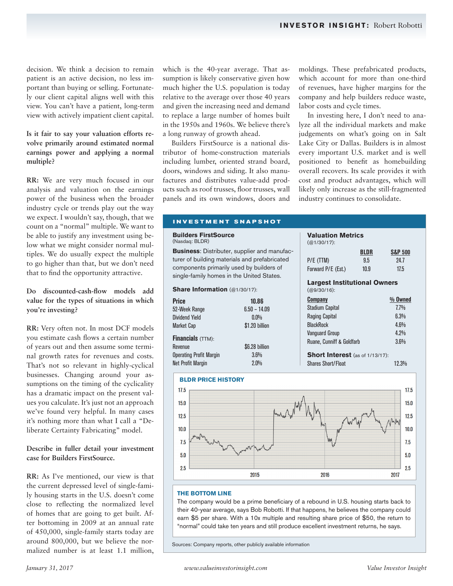decision. We think a decision to remain patient is an active decision, no less important than buying or selling. Fortunately our client capital aligns well with this view. You can't have a patient, long-term view with actively impatient client capital.

## **Is it fair to say your valuation efforts revolve primarily around estimated normal earnings power and applying a normal multiple?**

**RR:** We are very much focused in our analysis and valuation on the earnings power of the business when the broader industry cycle or trends play out the way we expect. I wouldn't say, though, that we count on a "normal" multiple. We want to be able to justify any investment using below what we might consider normal multiples. We do usually expect the multiple to go higher than that, but we don't need that to find the opportunity attractive.

## **Do discounted-cash-flow models add value for the types of situations in which you're investing?**

**RR:** Very often not. In most DCF models you estimate cash flows a certain number of years out and then assume some terminal growth rates for revenues and costs. That's not so relevant in highly-cyclical businesses. Changing around your assumptions on the timing of the cyclicality has a dramatic impact on the present values you calculate. It's just not an approach we've found very helpful. In many cases it's nothing more than what I call a "Deliberate Certainty Fabricating" model.

## **Describe in fuller detail your investment case for Builders FirstSource.**

**RR:** As I've mentioned, our view is that the current depressed level of single-family housing starts in the U.S. doesn't come close to reflecting the normalized level of homes that are going to get built. After bottoming in 2009 at an annual rate of 450,000, single-family starts today are around 800,000, but we believe the normalized number is at least 1.1 million, which is the 40-year average. That assumption is likely conservative given how much higher the U.S. population is today relative to the average over those 40 years and given the increasing need and demand to replace a large number of homes built in the 1950s and 1960s. We believe there's a long runway of growth ahead.

Builders FirstSource is a national distributor of home-construction materials including lumber, oriented strand board, doors, windows and siding. It also manufactures and distributes value-add products such as roof trusses, floor trusses, wall panels and its own windows, doors and

## moldings. These prefabricated products, which account for more than one-third of revenues, have higher margins for the company and help builders reduce waste, labor costs and cycle times.

In investing here, I don't need to analyze all the individual markets and make judgements on what's going on in Salt Lake City or Dallas. Builders is in almost every important U.S. market and is well positioned to benefit as homebuilding overall recovers. Its scale provides it with cost and product advantages, which will likely only increase as the still-fragmented industry continues to consolidate.

## **INVESTMENT SNAPSHOT**

**Builders FirstSource**  (Nasdaq: BLDR)

**Business**: Distributer, supplier and manufacturer of building materials and prefabricated components primarily used by builders of single-family homes in the United States.

#### **Share Information** (@1/30/17):

| <b>Price</b>                   | 10.86          |
|--------------------------------|----------------|
| 52-Week Range                  | $6.50 - 14.09$ |
| <b>Dividend Yield</b>          | $0.0\%$        |
| <b>Market Cap</b>              | \$1.20 billion |
| <b>Financials</b> (TTM):       |                |
| Revenue                        | \$6.28 billion |
| <b>Operating Profit Margin</b> | 3.6%           |
| <b>Net Profit Margin</b>       | 2.0%           |





#### **THE BOTTOM LINE**

The company would be a prime beneficiary of a rebound in U.S. housing starts back to their 40-year average, says Bob Robotti. If that happens, he believes the company could earn \$5 per share. With a 10x multiple and resulting share price of \$50, the return to "normal" could take ten years and still produce excellent investment returns, he says.

Sources: Company reports, other publicly available information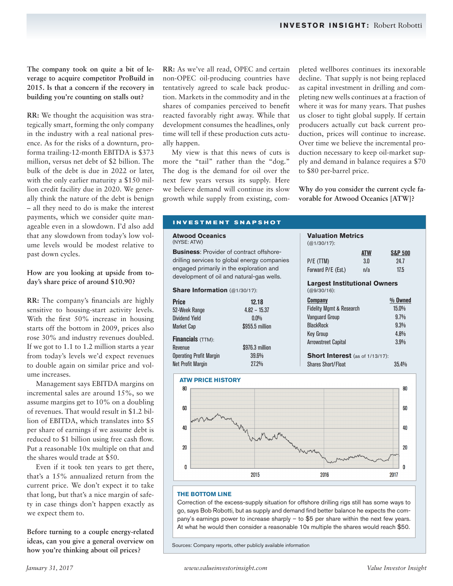**The company took on quite a bit of leverage to acquire competitor ProBuild in 2015. Is that a concern if the recovery in building you're counting on stalls out?** 

**RR:** We thought the acquisition was strategically smart, forming the only company in the industry with a real national presence. As for the risks of a downturn, proforma trailing-12-month EBITDA is \$373 million, versus net debt of \$2 billion. The bulk of the debt is due in 2022 or later, with the only earlier maturity a \$150 million credit facility due in 2020. We generally think the nature of the debt is benign – all they need to do is make the interest payments, which we consider quite manageable even in a slowdown that any slowdown from to ume levels would be mod past down cycles.

### How are you looking at up day's share price of around

**RR:** The company's financi sensitive to housing-start With the first  $50\%$  increa starts off the bottom in 200 rose 30% and industry reve If we got to  $1.1$  to  $1.2$  million from today's levels we'd ex to double again on similar ume increases.

Management says EBITI incremental sales are around 15%, so we assume margins get to 10% on a doubling of revenues. That would result in \$1.2 billion of EBITDA, which translates into \$5 per share of earnings if we assume debt is reduced to \$1 billion using free cash flow. Put a reasonable 10x multiple on that and the shares would trade at \$50.

Even if it took ten years to get there, that's a 15% annualized return from the current price. We don't expect it to take that long, but that's a nice margin of safety in case things don't happen exactly as we expect them to.

**Before turning to a couple energy-related ideas, can you give a general overview on how you're thinking about oil prices?**

**RR:** As we've all read, OPEC and certain non-OPEC oil-producing countries have tentatively agreed to scale back production. Markets in the commodity and in the shares of companies perceived to benefit reacted favorably right away. While that development consumes the headlines, only time will tell if these production cuts actually happen.

My view is that this news of cuts is more the "tail" rather than the "dog." The dog is the demand for oil over the next few years versus its supply. Here we believe demand will continue its slow growth while supply from existing, completed wellbores continues its inexorable decline. That supply is not being replaced as capital investment in drilling and completing new wells continues at a fraction of where it was for many years. That pushes us closer to tight global supply. If certain producers actually cut back current production, prices will continue to increase. Over time we believe the incremental production necessary to keep oil-market supply and demand in balance requires a \$70 to \$80 per-barrel price.

**Why do you consider the current cycle favorable for Atwood Oceanics [ATW]?**

| n. I'd also add                   | <b>INVESTMENT SNAPSHOT</b>                                                            |                 |                                                       |     |                    |
|-----------------------------------|---------------------------------------------------------------------------------------|-----------------|-------------------------------------------------------|-----|--------------------|
| day's low vol-<br>est relative to | <b>Atwood Oceanics</b><br>(NYSE: ATW)                                                 |                 | <b>Valuation Metrics</b><br>$(Q1/30/17)$ :            |     |                    |
|                                   | <b>Business:</b> Provider of contract offshore-                                       |                 |                                                       | ATW | <b>S&amp;P 500</b> |
|                                   | drilling services to global energy companies                                          |                 | P/E (TTM)                                             | 3.0 | 24.7               |
| pside from to-                    | engaged primarily in the exploration and<br>development of oil and natural-gas wells. |                 | Forward P/E (Est.)                                    | n/a | 17.5               |
| \$10.90?                          | <b>Share Information (@1/30/17):</b>                                                  |                 | <b>Largest Institutional Owners</b><br>$(Q9/30/16)$ : |     |                    |
|                                   |                                                                                       |                 |                                                       |     |                    |
| ials are highly                   | <b>Price</b>                                                                          | 12.18           | <b>Company</b>                                        |     | $%$ Owned          |
| activity levels.                  | 52-Week Range                                                                         | $4.82 - 15.37$  | <b>Fidelity Mgmt &amp; Research</b>                   |     | $15.0\%$           |
| use in housing                    | <b>Dividend Yield</b>                                                                 | $0.0\%$         | <b>Vanguard Group</b>                                 |     | $9.7\%$            |
| 09, prices also                   | Market Cap                                                                            | \$955.5 million | <b>BlackRock</b>                                      |     | 9.3%               |
| enues doubled.                    |                                                                                       |                 | Key Group                                             |     | $4.8\%$            |
|                                   | <b>Financials</b> $(TTM)$ :                                                           |                 | <b>Arrowstreet Capital</b>                            |     | 3.9%               |
| on starts a year                  | Revenue                                                                               | \$976.3 million |                                                       |     |                    |
| xpect revenues                    | <b>Operating Profit Margin</b>                                                        | 39.6%           | <b>Short Interest</b> (as of 1/13/17):                |     |                    |
| price and vol-                    | <b>Net Profit Margin</b>                                                              | 27.2%           | <b>Shares Short/Float</b>                             |     | 35.4%              |



#### **THE BOTTOM LINE**

Correction of the excess-supply situation for offshore drilling rigs still has some ways to go, says Bob Robotti, but as supply and demand find better balance he expects the company's earnings power to increase sharply – to \$5 per share within the next few years. At what he would then consider a reasonable 10x multiple the shares would reach \$50.

Sources: Company reports, other publicly available information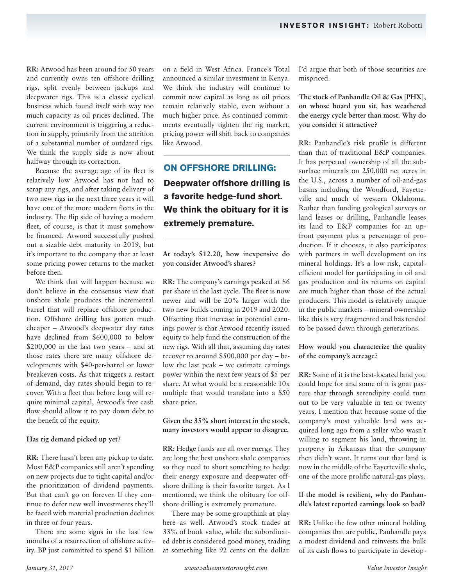**RR:** Atwood has been around for 50 years and currently owns ten offshore drilling rigs, split evenly between jackups and deepwater rigs. This is a classic cyclical business which found itself with way too much capacity as oil prices declined. The current environment is triggering a reduction in supply, primarily from the attrition of a substantial number of outdated rigs. We think the supply side is now about halfway through its correction.

Because the average age of its fleet is relatively low Atwood has not had to scrap any rigs, and after taking delivery of two new rigs in the next three years it will have one of the more modern fleets in the industry. The flip side of having a modern fleet, of course, is that it must somehow be financed. Atwood successfully pushed out a sizable debt maturity to 2019, but it's important to the company that at least some pricing power returns to the market before then.

We think that will happen because we don't believe in the consensus view that onshore shale produces the incremental barrel that will replace offshore production. Offshore drilling has gotten much cheaper – Atwood's deepwater day rates have declined from \$600,000 to below \$200,000 in the last two years – and at those rates there are many offshore developments with \$40-per-barrel or lower breakeven costs. As that triggers a restart of demand, day rates should begin to recover. With a fleet that before long will require minimal capital, Atwood's free cash flow should allow it to pay down debt to the benefit of the equity.

### **Has rig demand picked up yet?**

**RR:** There hasn't been any pickup to date. Most E&P companies still aren't spending on new projects due to tight capital and/or the prioritization of dividend payments. But that can't go on forever. If they continue to defer new well investments they'll be faced with material production declines in three or four years.

There are some signs in the last few months of a resurrection of offshore activity. BP just committed to spend \$1 billion on a field in West Africa. France's Total announced a similar investment in Kenya. We think the industry will continue to commit new capital as long as oil prices remain relatively stable, even without a much higher price. As continued commitments eventually tighten the rig market, pricing power will shift back to companies like Atwood.

**ON OFFSHORE DRILLING: Deepwater offshore drilling is a favorite hedge-fund short. We think the obituary for it is extremely premature.**

**At today's \$12.20, how inexpensive do you consider Atwood's shares?**

**RR:** The company's earnings peaked at \$6 per share in the last cycle. The fleet is now newer and will be 20% larger with the two new builds coming in 2019 and 2020. Offsetting that increase in potential earnings power is that Atwood recently issued equity to help fund the construction of the new rigs. With all that, assuming day rates recover to around \$500,000 per day – below the last peak – we estimate earnings power within the next few years of \$5 per share. At what would be a reasonable 10x multiple that would translate into a \$50 share price.

### **Given the 35% short interest in the stock, many investors would appear to disagree.**

**RR:** Hedge funds are all over energy. They are long the best onshore shale companies so they need to short something to hedge their energy exposure and deepwater offshore drilling is their favorite target. As I mentioned, we think the obituary for offshore drilling is extremely premature.

There may be some groupthink at play here as well. Atwood's stock trades at 33% of book value, while the subordinated debt is considered good money, trading at something like 92 cents on the dollar. I'd argue that both of those securities are mispriced.

**The stock of Panhandle Oil & Gas [PHX], on whose board you sit, has weathered the energy cycle better than most. Why do you consider it attractive?**

**RR:** Panhandle's risk profile is different than that of traditional E&P companies. It has perpetual ownership of all the subsurface minerals on 250,000 net acres in the U.S., across a number of oil-and-gas basins including the Woodford, Fayetteville and much of western Oklahoma. Rather than funding geological surveys or land leases or drilling, Panhandle leases its land to E&P companies for an upfront payment plus a percentage of production. If it chooses, it also participates with partners in well development on its mineral holdings. It's a low-risk, capitalefficient model for participating in oil and gas production and its returns on capital are much higher than those of the actual producers. This model is relatively unique in the public markets – mineral ownership like this is very fragmented and has tended to be passed down through generations.

## **How would you characterize the quality of the company's acreage?**

**RR:** Some of it is the best-located land you could hope for and some of it is goat pasture that through serendipity could turn out to be very valuable in ten or twenty years. I mention that because some of the company's most valuable land was acquired long ago from a seller who wasn't willing to segment his land, throwing in property in Arkansas that the company then didn't want. It turns out that land is now in the middle of the Fayetteville shale, one of the more prolific natural-gas plays.

## **If the model is resilient, why do Panhandle's latest reported earnings look so bad?**

**RR:** Unlike the few other mineral holding companies that are public, Panhandle pays a modest dividend and reinvests the bulk of its cash flows to participate in develop-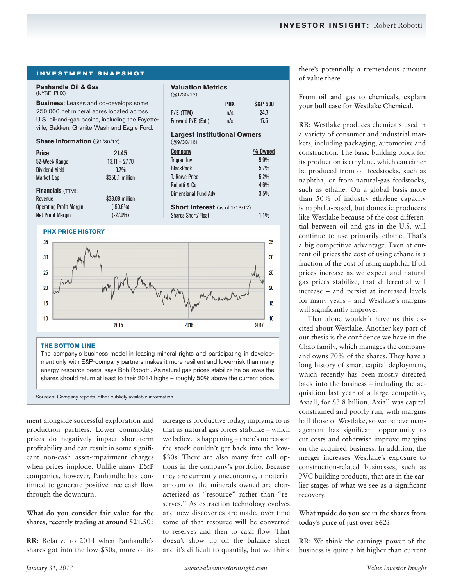## **INVESTMENT SNAPSHOT**

#### **Panhandle Oil & Gas**  (NYSE: PHX)

**Business**: Leases and co-develops some 250,000 net mineral acres located across U.S. oil-and-gas basins, including the Fayetteville, Bakken, Granite Wash and Eagle Ford.

#### **Share Information** (@1/30/17):

| <b>Price</b>                   | 21.45           | <b>Company</b>                         | % Owned |
|--------------------------------|-----------------|----------------------------------------|---------|
| 52-Week Range                  | $13.11 - 27.70$ | Trigran Inv                            | $9.9\%$ |
| <b>Dividend Yield</b>          | 0.7%            | <b>BlackRock</b>                       | 5.7%    |
| <b>Market Cap</b>              | \$356.1 million | <b>T. Rowe Price</b>                   | 5.2%    |
|                                |                 | Robotti & Co                           | 4.6%    |
| <b>Financials</b> (TTM):       |                 | <b>Dimensional Fund Adv</b>            | 3.5%    |
| Revenue                        | \$38,08 million |                                        |         |
| <b>Operating Profit Margin</b> | $(-50.6%)$      | <b>Short Interest</b> (as of 1/13/17): |         |
| <b>Net Profit Margin</b>       | $(-27.0\%)$     | <b>Shares Short/Float</b>              | $1.1\%$ |

**Valuation Metrics**

P/E (TTM) n/a 24.7 Forward P/E (Est.) n/a 17.5 **Largest Institutional Owners**

**PHX S&P 500**

 $(Q_01/30/17)$ :

(@9/30/16):

#### **PHX PRICE HISTORY**



#### **THE BOTTOM LINE**

The company's business model in leasing mineral rights and participating in development only with E&P-company partners makes it more resilient and lower-risk than many energy-resource peers, says Bob Robotti. As natural gas prices stabilize he believes the shares should return at least to their 2014 highs – roughly 50% above the current price.

Sources: Company reports, other publicly available information

ment alongside successful exploration and production partners. Lower commodity prices do negatively impact short-term profitability and can result in some significant non-cash asset-impairment charges when prices implode. Unlike many E&P companies, however, Panhandle has continued to generate positive free cash flow through the downturn.

**What do you consider fair value for the shares, recently trading at around \$21.50?**

**RR:** Relative to 2014 when Panhandle's shares got into the low-\$30s, more of its acreage is productive today, implying to us that as natural gas prices stabilize – which we believe is happening – there's no reason the stock couldn't get back into the low- \$30s. There are also many free call options in the company's portfolio. Because they are currently uneconomic, a material amount of the minerals owned are characterized as "resource" rather than "reserves." As extraction technology evolves and new discoveries are made, over time some of that resource will be converted to reserves and then to cash flow. That doesn't show up on the balance sheet and it's difficult to quantify, but we think there's potentially a tremendous amount of value there.

**From oil and gas to chemicals, explain your bull case for Westlake Chemical.**

**RR:** Westlake produces chemicals used in a variety of consumer and industrial markets, including packaging, automotive and construction. The basic building block for its production is ethylene, which can either be produced from oil feedstocks, such as naphtha, or from natural-gas feedstocks, such as ethane. On a global basis more than 50% of industry ethylene capacity is naphtha-based, but domestic producers like Westlake because of the cost differential between oil and gas in the U.S. will continue to use primarily ethane. That's a big competitive advantage. Even at current oil prices the cost of using ethane is a fraction of the cost of using naphtha. If oil prices increase as we expect and natural gas prices stabilize, that differential will increase – and persist at increased levels for many years – and Westlake's margins will significantly improve.

That alone wouldn't have us this excited about Westlake. Another key part of our thesis is the confidence we have in the Chao family, which manages the company and owns 70% of the shares. They have a long history of smart capital deployment, which recently has been mostly directed back into the business – including the acquisition last year of a large competitor, Axiall, for \$3.8 billion. Axiall was capital constrained and poorly run, with margins half those of Westlake, so we believe management has significant opportunity to cut costs and otherwise improve margins on the acquired business. In addition, the merger increases Westlake's exposure to construction-related businesses, such as PVC building products, that are in the earlier stages of what we see as a significant recovery.

### **What upside do you see in the shares from today's price of just over \$62?**

**RR:** We think the earnings power of the business is quite a bit higher than current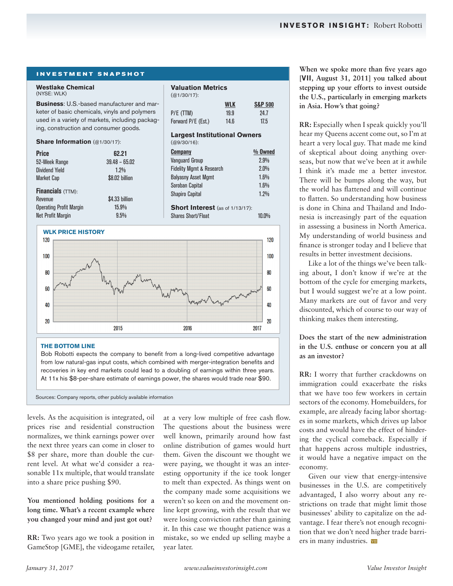#### **INVESTMENT SNAPSHOT**

#### **Westlake Chemical**  (NYSE: WLK)

**Business**: U.S.-based manufacturer and marketer of basic chemicals, vinyls and polymers used in a variety of markets, including packaging, construction and consumer goods.

#### **Share Information** (@1/30/17):

| Price                    | 62.21           | <b>Company</b>                         | $%$ Owned |
|--------------------------|-----------------|----------------------------------------|-----------|
| 52-Week Range            | $39.48 - 65.02$ | <b>Vanguard Group</b>                  | 2.9%      |
| Dividend Yield           | $1.2\%$         | <b>Fidelity Mgmt &amp; Research</b>    | 2.0%      |
| Market Cap               | \$8.02 billion  | <b>Balyasny Asset Mgmt</b>             | 1.6%      |
|                          |                 | Soroban Capital                        | 1.6%      |
| <b>Financials</b> (TTM): |                 | <b>Shapiro Capital</b>                 | 1.2%      |
| Revenue                  | \$4.33 billion  |                                        |           |
| Operating Profit Margin  | $15.9\%$        | <b>Short Interest</b> (as of 1/13/17): |           |
| Net Profit Margin        | 9.5%            | <b>Shares Short/Float</b>              | $10.0\%$  |
|                          |                 |                                        |           |

**Valuation Metrics**

P/E (TTM) 19.9 24.7 Forward P/E (Est.) 14.6 17.5 **Largest Institutional Owners**

**WLK S&P 500**

(@1/30/17):

(@9/30/16):

#### **WLK PRICE HISTORY**



from low natural-gas input costs, which combined with merger-integration benefits and recoveries in key end markets could lead to a doubling of earnings within three years. At 11x his \$8-per-share estimate of earnings power, the shares would trade near \$90.

Sources: Company reports, other publicly available information

levels. As the acquisition is integrated, oil prices rise and residential construction normalizes, we think earnings power over the next three years can come in closer to \$8 per share, more than double the current level. At what we'd consider a reasonable 11x multiple, that would translate into a share price pushing \$90.

**You mentioned holding positions for a long time. What's a recent example where you changed your mind and just got out?**

**RR:** Two years ago we took a position in GameStop [GME], the videogame retailer, at a very low multiple of free cash flow. The questions about the business were well known, primarily around how fast online distribution of games would hurt them. Given the discount we thought we were paying, we thought it was an interesting opportunity if the ice took longer to melt than expected. As things went on the company made some acquisitions we weren't so keen on and the movement online kept growing, with the result that we were losing conviction rather than gaining it. In this case we thought patience was a mistake, so we ended up selling maybe a year later.

**When we spoke more than five years ago [***VII***, August 31, 2011] you talked about stepping up your efforts to invest outside the U.S., particularly in emerging markets in Asia. How's that going?**

**RR:** Especially when I speak quickly you'll hear my Queens accent come out, so I'm at heart a very local guy. That made me kind of skeptical about doing anything overseas, but now that we've been at it awhile I think it's made me a better investor. There will be bumps along the way, but the world has flattened and will continue to flatten. So understanding how business is done in China and Thailand and Indonesia is increasingly part of the equation in assessing a business in North America. My understanding of world business and finance is stronger today and I believe that results in better investment decisions.

Like a lot of the things we've been talking about, I don't know if we're at the bottom of the cycle for emerging markets, but I would suggest we're at a low point. Many markets are out of favor and very discounted, which of course to our way of thinking makes them interesting.

**Does the start of the new administration in the U.S. enthuse or concern you at all as an investor?**

**RR:** I worry that further crackdowns on immigration could exacerbate the risks that we have too few workers in certain sectors of the economy. Homebuilders, for example, are already facing labor shortages in some markets, which drives up labor costs and would have the effect of hindering the cyclical comeback. Especially if that happens across multiple industries, it would have a negative impact on the economy.

Given our view that energy-intensive businesses in the U.S. are competitively advantaged, I also worry about any restrictions on trade that might limit those businesses' ability to capitalize on the advantage. I fear there's not enough recognition that we don't need higher trade barriers in many industries. WII